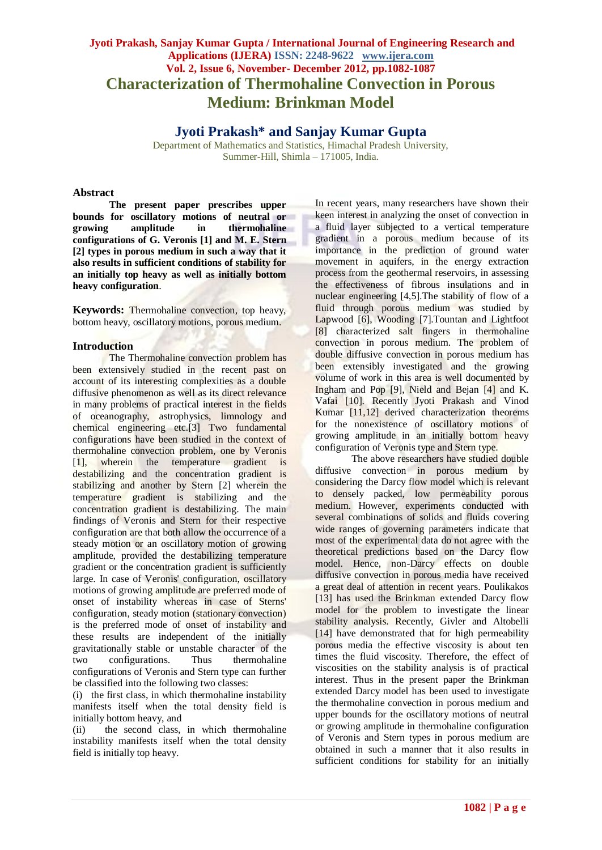## **Jyoti Prakash, Sanjay Kumar Gupta / International Journal of Engineering Research and Applications (IJERA) ISSN: 2248-9622 www.ijera.com Vol. 2, Issue 6, November- December 2012, pp.1082-1087 Characterization of Thermohaline Convection in Porous Medium: Brinkman Model**

**Jyoti Prakash\* and Sanjay Kumar Gupta**

Department of Mathematics and Statistics, Himachal Pradesh University, Summer-Hill, Shimla – 171005, India.

#### **Abstract**

**The present paper prescribes upper bounds for oscillatory motions of neutral or growing amplitude in thermohaline configurations of G. Veronis [1] and M. E. Stern [2] types in porous medium in such a way that it also results in sufficient conditions of stability for an initially top heavy as well as initially bottom heavy configuration**.

**Keywords:** Thermohaline convection, top heavy, bottom heavy, oscillatory motions, porous medium.

#### **Introduction**

The Thermohaline convection problem has been extensively studied in the recent past on account of its interesting complexities as a double diffusive phenomenon as well as its direct relevance in many problems of practical interest in the fields of oceanography, astrophysics, limnology and chemical engineering etc.[3] Two fundamental configurations have been studied in the context of thermohaline convection problem, one by Veronis [1], wherein the temperature gradient is destabilizing and the concentration gradient is stabilizing and another by Stern [2] wherein the temperature gradient is stabilizing and the concentration gradient is destabilizing. The main findings of Veronis and Stern for their respective configuration are that both allow the occurrence of a steady motion or an oscillatory motion of growing amplitude, provided the destabilizing temperature gradient or the concentration gradient is sufficiently large. In case of Veronis' configuration, oscillatory motions of growing amplitude are preferred mode of onset of instability whereas in case of Sterns' configuration, steady motion (stationary convection) is the preferred mode of onset of instability and these results are independent of the initially gravitationally stable or unstable character of the two configurations. Thus thermohaline configurations of Veronis and Stern type can further be classified into the following two classes:

(i) the first class, in which thermohaline instability manifests itself when the total density field is initially bottom heavy, and

(ii) the second class, in which thermohaline instability manifests itself when the total density field is initially top heavy.

In recent years, many researchers have shown their keen interest in analyzing the onset of convection in a fluid layer subjected to a vertical temperature gradient in a porous medium because of its importance in the prediction of ground water movement in aquifers, in the energy extraction process from the geothermal reservoirs, in assessing the effectiveness of fibrous insulations and in nuclear engineering [4,5].The stability of flow of a fluid through porous medium was studied by Lapwood [6], Wooding [7].Tountan and Lightfoot [8] characterized salt fingers in thermohaline convection in porous medium. The problem of double diffusive convection in porous medium has been extensibly investigated and the growing volume of work in this area is well documented by Ingham and Pop [9], Nield and Bejan [4] and K. Vafai [10]. Recently Jyoti Prakash and Vinod Kumar [11,12] derived characterization theorems for the nonexistence of oscillatory motions of growing amplitude in an initially bottom heavy configuration of Veronis type and Stern type.

The above researchers have studied double diffusive convection in porous medium by considering the Darcy flow model which is relevant to densely packed, low permeability porous medium. However, experiments conducted with several combinations of solids and fluids covering wide ranges of governing parameters indicate that most of the experimental data do not agree with the theoretical predictions based on the Darcy flow model. Hence, non-Darcy effects on double diffusive convection in porous media have received a great deal of attention in recent years. Poulikakos [13] has used the Brinkman extended Darcy flow model for the problem to investigate the linear stability analysis. Recently, Givler and Altobelli [14] have demonstrated that for high permeability porous media the effective viscosity is about ten times the fluid viscosity. Therefore, the effect of viscosities on the stability analysis is of practical interest. Thus in the present paper the Brinkman extended Darcy model has been used to investigate the thermohaline convection in porous medium and upper bounds for the oscillatory motions of neutral or growing amplitude in thermohaline configuration of Veronis and Stern types in porous medium are obtained in such a manner that it also results in sufficient conditions for stability for an initially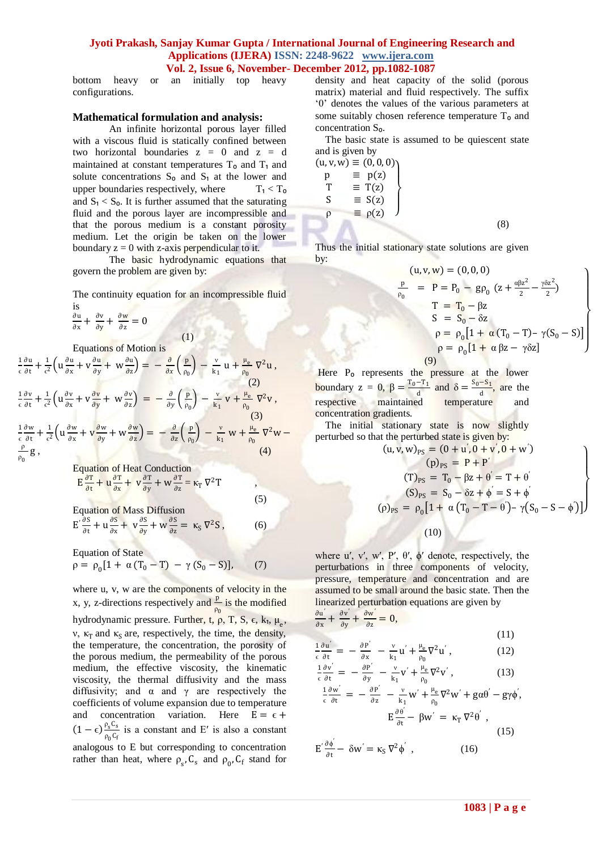bottom heavy or an initially top heavy configurations.

#### **Mathematical formulation and analysis:**

An infinite horizontal porous layer filled with a viscous fluid is statically confined between two horizontal boundaries  $z = 0$  and  $z = d$ maintained at constant temperatures  $T<sub>o</sub>$  and  $T<sub>1</sub>$  and solute concentrations  $S_0$  and  $S_1$  at the lower and upper boundaries respectively, where  $T_1 < T_0$ and  $S_1 < S_0$ . It is further assumed that the saturating fluid and the porous layer are incompressible and that the porous medium is a constant porosity medium. Let the origin be taken on the lower boundary  $z = 0$  with z-axis perpendicular to it.

The basic hydrodynamic equations that govern the problem are given by:

The continuity equation for an incompressible fluid is

(1)

$$
\frac{\partial \mathbf{u}}{\partial \mathbf{x}} + \frac{\partial \mathbf{v}}{\partial \mathbf{y}} + \frac{\partial \mathbf{w}}{\partial \mathbf{z}} = 0
$$

Equations of Motion is

$$
\frac{1}{\epsilon} \frac{\partial u}{\partial t} + \frac{1}{\epsilon^2} \left( u \frac{\partial u}{\partial x} + v \frac{\partial u}{\partial y} + w \frac{\partial u}{\partial z} \right) = - \frac{\partial}{\partial x} \left( \frac{p}{\rho_0} \right) - \frac{v}{k_1} u + \frac{\mu_e}{\rho_0} \nabla^2 u,
$$
\n
$$
\frac{1}{\epsilon} \frac{\partial v}{\partial t} + \frac{1}{\epsilon^2} \left( u \frac{\partial v}{\partial x} + v \frac{\partial v}{\partial y} + w \frac{\partial v}{\partial z} \right) = - \frac{\partial}{\partial y} \left( \frac{p}{\rho_0} \right) - \frac{v}{k_1} v + \frac{\mu_e}{\rho_0} \nabla^2 v,
$$
\n
$$
\frac{1}{\epsilon} \frac{\partial w}{\partial t} + \frac{1}{\epsilon^2} \left( u \frac{\partial w}{\partial x} + v \frac{\partial w}{\partial y} + w \frac{\partial w}{\partial z} \right) = - \frac{\partial}{\partial z} \left( \frac{p}{\rho_0} \right) - \frac{v}{k_1} w + \frac{\mu_e}{\rho_0} \nabla^2 w - \frac{\rho}{\rho_0} g,
$$
\n
$$
(4)
$$

Equation of Heat Conduction

$$
E\frac{\partial T}{\partial t} + u\frac{\partial T}{\partial x} + v\frac{\partial T}{\partial y} + w\frac{\partial T}{\partial z} = \kappa_T \nabla^2 T
$$

Equation of Mass Diffusion  $E' \frac{\partial S}{\partial t}$  $\frac{\partial S}{\partial t} + u \frac{\partial S}{\partial x}$  $\frac{\partial S}{\partial x} + v \frac{\partial S}{\partial y}$  $rac{\partial S}{\partial y} + W \frac{\partial S}{\partial z}$  $\frac{\partial S}{\partial z} = \kappa_S \nabla^2 S$ , (6)

(5)

Equation of State  $\rho = \rho_0 [1 + \alpha (T_0 - T) - \gamma (S_0 - S)],$  (7)

where u, v, w are the components of velocity in the x, y, z-directions respectively and  $\frac{p}{\rho_0}$  is the modified hydrodynamic pressure. Further, t, ρ, T, S, ε, k<sub>1</sub>, μ<sub>e</sub>, ν, κ<sub>T</sub> and κ<sub>S</sub> are, respectively, the time, the density, the temperature, the concentration, the porosity of the porous medium, the permeability of the porous medium, the effective viscosity, the kinematic viscosity, the thermal diffusivity and the mass diffusivity; and  $\alpha$  and  $\gamma$  are respectively the coefficients of volume expansion due to temperature and concentration variation. Here  $E = \epsilon +$  $(1-\epsilon)\frac{\rho_s C_s}{c}$  $\frac{\rho_s \text{c}_s}{\rho_0 \text{c}_f}$  is a constant and E' is also a constant analogous to E but corresponding to concentration rather than heat, where  $\rho_s$ ,  $C_s$  and  $\rho_0$ ,  $C_f$  stand for density and heat capacity of the solid (porous matrix) material and fluid respectively. The suffix '0' denotes the values of the various parameters at some suitably chosen reference temperature  $T<sub>o</sub>$  and concentration S<sub>o</sub>.

 The basic state is assumed to be quiescent state and is given by

$$
(u, v, w) \equiv (0, 0, 0)
$$
  
\n
$$
p \equiv p(z)
$$
  
\n
$$
T \equiv T(z)
$$
  
\n
$$
S \equiv S(z)
$$
  
\n
$$
p \equiv p(z)
$$

Thus the initial stationary state solutions are given by:

$$
(u, v, w) = (0, 0, 0)
$$
  
\n
$$
\frac{p}{\rho_0} = P = P_0 - gp_0 (z + \frac{\alpha \beta z^2}{2} - \frac{\gamma \delta z^2}{2})
$$
  
\n
$$
T = T_0 - \beta z
$$
  
\n
$$
S = S_0 - \delta z
$$
  
\n
$$
\rho = \rho_0 [1 + \alpha (T_0 - T) - \gamma (S_0 - S)]
$$
  
\n
$$
\rho = \rho_0 [1 + \alpha \beta z - \gamma \delta z]
$$
  
\n(9)

(8)

Here P<sub>o</sub> represents the pressure at the lower boundary  $z = 0$ ,  $\beta = \frac{T_0 - T_1}{T_0}$  $\frac{-T_1}{d}$  and  $\delta = \frac{S_0 - S_1}{d}$  $\frac{1}{d}$ , are the respective maintained temperature and concentration gradients.

The initial stationary state is now slightly perturbed so that the perturbed state is given by:

$$
(u, v, w)_{PS} = (0 + u', 0 + v', 0 + w')
$$
  
\n
$$
(p)_{PS} = P + P'
$$
  
\n
$$
(T)_{PS} = T_0 - \beta z + \theta' = T + \theta'
$$
  
\n
$$
(S)_{PS} = S_0 - \delta z + \phi' = S + \phi'
$$
  
\n
$$
(\rho)_{PS} = \rho_0 [1 + \alpha (T_0 - T - \theta') - \gamma (S_0 - S - \phi')]
$$
  
\n
$$
(10)
$$

where u', v', w', P',  $\theta'$ ,  $\phi'$  denote, respectively, the perturbations in three components of velocity, pressure, temperature and concentration and are assumed to be small around the basic state. Then the linearized perturbation equations are given by  $\frac{\partial u'}{\partial x} + \frac{\partial v'}{\partial y} + \frac{\partial w'}{\partial z} = 0,$ 

$$
\frac{\partial}{\partial x} + \frac{\partial}{\partial y} + \frac{\partial}{\partial z} = 0,
$$
\n(11)\n
$$
\frac{\partial P'}{\partial y} + \frac{\partial P'}{\partial z} = 0,
$$
\n(12)

$$
\frac{1}{\epsilon} \frac{\partial \mathbf{u}'}{\partial t} = -\frac{\partial \mathbf{P}'}{\partial \mathbf{x}} - \frac{\mathbf{v}}{\mathbf{k}_1} \mathbf{u}' + \frac{\mu_{\mathbf{e}}}{\rho_0} \nabla^2 \mathbf{u}' \,, \tag{12}
$$

$$
\frac{1}{\epsilon} \frac{\partial v'}{\partial t} = -\frac{\partial P'}{\partial y} - \frac{v}{k_1} v' + \frac{\mu_e}{\rho_0} \nabla^2 v', \qquad (13)
$$

$$
\frac{1}{\epsilon} \frac{\partial w'}{\partial t} = -\frac{\partial P'}{\partial z} - \frac{v}{k_1} w' + \frac{\mu_e}{\rho_0} \nabla^2 w' + g \alpha \theta' - g \gamma \phi',
$$
  

$$
E \frac{\partial \theta'}{\partial t} - \beta w' = \kappa_T \nabla^2 \theta',
$$
 (15)

$$
E' \frac{\partial \phi'}{\partial t} - \delta w' = \kappa_S \nabla^2 \phi', \qquad (16)
$$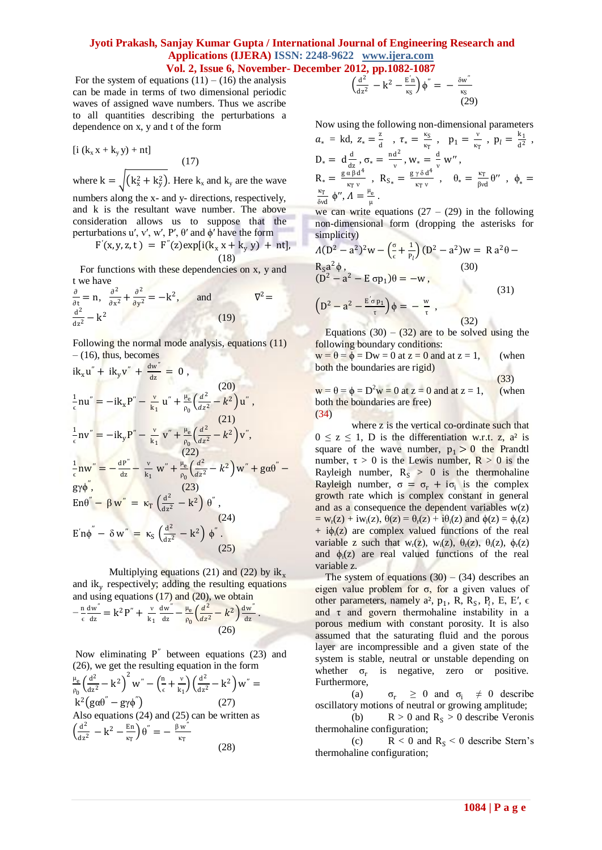For the system of equations  $(11) - (16)$  the analysis can be made in terms of two dimensional periodic waves of assigned wave numbers. Thus we ascribe to all quantities describing the perturbations a dependence on x, y and t of the form

$$
[i (kx x + ky y) + nt]
$$
\n(17)  
\nwhere k =  $\sqrt{(k_x^2 + k_y^2)}$ . Here k<sub>x</sub> and k<sub>y</sub> are the wave  
\nnumbers along the x- and y- directions, respectively,  
\nand k is the resultant wave number. The above  
\nconsideration allows us to suppose that the  
\nperturbations u', v', w', P', θ' and φ' have the form  
\nF'(x, y, z, t) = F''(z)exp[i(k<sub>x</sub> x + k<sub>y</sub> y) + nt],

$$
F'(x,y,z,t) = F''(z) \exp[i(k_x x + k_y y) + nt],
$$
  
(18)

For functions with these dependencies on x, y and t we have

$$
\frac{\partial}{\partial t} = n, \quad \frac{\partial^2}{\partial x^2} + \frac{\partial^2}{\partial y^2} = -k^2, \quad \text{and} \quad \nabla^2 = \frac{d^2}{dz^2} - k^2
$$
\n(19)

Following the normal mode analysis, equations (11)  $-$  (16), thus, becomes

$$
ik_{x}u'' + ik_{y}v'' + \frac{dw''}{dz} = 0,
$$
\n
$$
\frac{1}{\epsilon}nu'' = -ik_{x}P'' - \frac{v}{k_{1}}u'' + \frac{\mu_{e}}{\rho_{0}}(\frac{d^{2}}{dz^{2}} - k^{2})u'',
$$
\n(21)\n
$$
\frac{1}{\epsilon}nv'' = -ik_{y}P'' - \frac{v}{k_{1}}v'' + \frac{\mu_{e}}{\rho_{0}}(\frac{d^{2}}{dz^{2}} - k^{2})v'',
$$
\n(22)\n
$$
\frac{1}{\epsilon}nw'' = -\frac{dP''}{dz} - \frac{v}{k_{1}}w'' + \frac{\mu_{e}}{\rho_{0}}(\frac{d^{2}}{dz^{2}} - k^{2})w'' + g\alpha\theta'' -
$$
\n(23)\n
$$
En\theta'' - \beta w'' = \kappa_{T}\left(\frac{d^{2}}{dz^{2}} - k^{2}\right)\theta'',
$$
\n(24)\n
$$
E'n\phi'' - \delta w'' = \kappa_{S}\left(\frac{d^{2}}{dz^{2}} - k^{2}\right)\phi''.
$$
\n(25)

Multiplying equations (21) and (22) by  $ik_x$ and ik<sup>y</sup> respectively; adding the resulting equations and using equations  $(17)$  and  $(20)$ , we obtain − n ϵ dw′′  $\frac{dw}{dz} = k^2 P'' + \frac{v}{k}$  $k_1$ dw′′  $rac{\text{dw}^{\prime\prime}}{\text{dz}} - \frac{\mu_e}{\rho_0}$  $\frac{\mu_e}{\rho_0} \left( \frac{d^2}{dz^2} \right)$  $\frac{d^2}{dz^2} - k^2 \left( \frac{dw''}{dz} \right)$  $\frac{1}{dz}$ .  $(26)$ 

Now eliminating  $P''$  between equations (23) and (26), we get the resulting equation in the form  $\mu_e$  $\frac{\mu_e}{\rho_0} \left( \frac{d^2}{dz^2} \right)$  $\frac{d^2}{dz^2} - k^2 \bigg)^2 w'' - \bigg(\frac{n}{\epsilon}\bigg)$  $\frac{m}{\epsilon} + \frac{v}{k}$  $\frac{v}{k_1}$  $\left(\frac{d^2}{dz^2}\right)$  $\frac{d^2}{dz^2} - k^2$  w" = k<sup>2</sup> (gαθ<sup>"</sup> – gγφ  $(27)$ Also equations (24) and (25) can be written as  $\left(\frac{d^2}{dx}\right)$  $\frac{d^2}{dz^2} - k^2 - \frac{En}{\kappa_T}$  $\frac{\text{En}}{\text{k}_T}$  $\theta'' = -\frac{\beta w''}{\text{k}_T}$ κT (28)

$$
\left(\frac{d^2}{dz^2} - k^2 - \frac{E'_{\rm rs}}{\kappa_{\rm s}}\right)\phi'' = -\frac{\delta w''}{\kappa_{\rm s}}\n\tag{29}
$$

Now using the following non-dimensional parameters

$$
a_* = kd, z_* = \frac{z}{d} , \tau_* = \frac{\kappa_S}{\kappa_T} , p_1 = \frac{v}{\kappa_T} , p_l = \frac{k_1}{d^2} ,
$$
  
\n
$$
D_* = d \frac{d}{dz}, \sigma_* = \frac{nd^2}{v}, W_* = \frac{d}{v} W'',
$$
  
\n
$$
R_* = \frac{g \alpha \beta d^4}{\kappa_T v} , R_{S_*} = \frac{g \gamma \delta d^4}{\kappa_T v} , \quad \theta_* = \frac{\kappa_T}{\beta vd} \theta'' , \quad \phi_* = \frac{\kappa_T}{\delta vd} \phi'', \quad A = \frac{\frac{\kappa_T}{v}}{\delta v}.
$$

we can write equations  $(27 - (29))$  in the following non-dimensional form (dropping the asterisks for simplicity)

$$
A(D2 - a2)2w - \left(\frac{\sigma}{\epsilon} + \frac{1}{P_l}\right)(D2 - a2)w = R a2\theta - R5a2\phi,
$$
\n(30)\n
$$
(D2 - a2 - E \sigma p_1)\theta = -w,
$$
\n(31)\n
$$
\left(D2 - a2 - \frac{E' \sigma p_1}{\tau}\right)\phi = -\frac{w}{\tau},
$$
\n(32)

Equations (30) – (32) are to be solved using the following boundary conditions:

 $w = \theta = \phi = Dw = 0$  at  $z = 0$  and at  $z = 1$ , (when both the boundaries are rigid)

(33)

 $w = \theta = \phi = D^2w = 0$  at  $z = 0$  and at  $z = 1$ , (when both the boundaries are free) (34)

where z is the vertical co-ordinate such that  $0 \le z \le 1$ , D is the differentiation w.r.t. z,  $a^2$  is square of the wave number,  $p_1 > 0$  the Prandtl number,  $\tau > 0$  is the Lewis number,  $R > 0$  is the Rayleigh number,  $R_s > 0$  is the thermohaline Rayleigh number,  $\sigma = \sigma_r + i\sigma_i$  is the complex growth rate which is complex constant in general and as a consequence the dependent variables  $w(z)$  $=$  w<sub>r</sub>(z) + iw<sub>i</sub>(z),  $\theta$ (z) =  $\theta$ <sub>r</sub>(z) + i $\theta$ <sub>i</sub>(z) and  $\phi$ (z) =  $\phi$ <sub>r</sub>(z)  $+ i\phi_i(z)$  are complex valued functions of the real variable z such that  $w_r(z)$ ,  $w_i(z)$ ,  $\theta_r(z)$ ,  $\theta_i(z)$ ,  $\phi_r(z)$ and  $\phi_i(z)$  are real valued functions of the real variable z.

The system of equations  $(30) - (34)$  describes an eigen value problem for  $σ$ , for a given values of other parameters, namely  $a^2$ ,  $p_1$ , R, R<sub>S</sub>, P<sub>l</sub>, E, E',  $\epsilon$ and  $\tau$  and govern thermohaline instability in a porous medium with constant porosity. It is also assumed that the saturating fluid and the porous layer are incompressible and a given state of the system is stable, neutral or unstable depending on whether  $\sigma_r$  is negative, zero or positive. Furthermore,

(a)  $\sigma_r \geq 0$  and  $\sigma_i \neq 0$  describe oscillatory motions of neutral or growing amplitude; (b)  $R > 0$  and  $R<sub>S</sub> > 0$  describe Veronis

thermohaline configuration; (c)  $R < 0$  and  $R<sub>S</sub> < 0$  describe Stern's thermohaline configuration;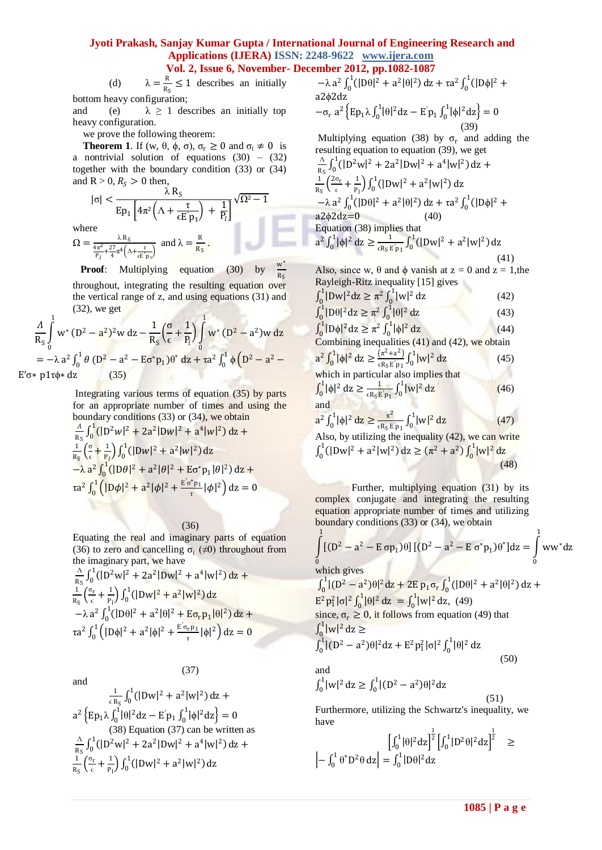(d)  $\lambda = \frac{R}{R}$  $\frac{\pi}{R_S} \leq 1$  describes an initially bottom heavy configuration;

and (e)  $\lambda \ge 1$  describes an initially top heavy configuration.

we prove the following theorem:

**Theorem 1.** If (w,  $\theta$ ,  $\phi$ ,  $\sigma$ ),  $\sigma_r \ge 0$  and  $\sigma_i \ne 0$  is a nontrivial solution of equations  $(30) - (32)$ together with the boundary condition (33) or (34) and  $R > 0$ ,  $R<sub>S</sub> > 0$  then,  $|\sigma|$  <  $\frac{\lambda R_S}{\lambda}$ 

 $\sqrt{\Omega^2-1}$ 

 $\mathbf w$ 

$$
\text{Ep}_1 \left[ 4\pi^2 \left( \Lambda + \frac{\tau}{\epsilon \mathbf{E}' \mathbf{p}_1} \right) + \frac{1}{\mathbf{P}_l} \right]^{3.22}
$$
\n
$$
\text{where}
$$
\n
$$
\Omega = \frac{\lambda \mathbf{R}_S}{\frac{4\pi^2}{\mathbf{P}_l} + \frac{27}{4}\pi^4 \left( \Lambda + \frac{\tau}{\epsilon \mathbf{E}' \mathbf{p}_1} \right)} \text{ and } \lambda = \frac{\mathbf{R}}{\mathbf{R}_S}.
$$

 $Ep_1\left[4\pi^2\left(\Lambda + \frac{\tau}{\epsilon F}\right)\right]$ 

**Proof:** Multiplying equation (30) by  $R_S$ throughout, integrating the resulting equation over the vertical range of z, and using equations (31) and (32), we get

$$
\frac{A}{R_S} \int_0^1 w^* (D^2 - a^2)^2 w \, dz - \frac{1}{R_S} \left( \frac{\sigma}{\epsilon} + \frac{1}{P_l} \right) \int_0^1 w^* (D^2 - a^2) w \, dz
$$
  
= -\lambda a^2 \int\_0^1 \theta (D^2 - a^2 - E \sigma^\* p\_1) \theta^\* \, dz + \tau a^2 \int\_0^1 \phi (D^2 - a^2 - E \sigma^\* p\_1) \phi^\* \, dz + \tau a^2 \int\_0^1 \phi (D^2 - a^2 - E \sigma^\* p\_1) \phi^\* \, dz

Integrating various terms of equation (35) by parts for an appropriate number of times and using the boundary conditions (33) or (34), we obtain

$$
\frac{A}{R_S} \int_0^1 (|D^2 w|^2 + 2a^2 |D w|^2 + a^4 |w|^2) dz +
$$
  
\n
$$
\frac{1}{R_S} \left(\frac{\sigma}{\epsilon} + \frac{1}{P_l}\right) \int_0^1 (|D w|^2 + a^2 |w|^2) dz -\lambda a^2 \int_0^1 (|D \theta|^2 + a^2 | \theta|^2 + E \sigma^* p_1 | \theta|^2) dz +
$$
  
\n
$$
\tau a^2 \int_0^1 (|D \phi|^2 + a^2 | \phi|^2 + \frac{E \sigma^* p_1}{\tau} | \phi|^2) dz = 0
$$

(36)

(37)

Equating the real and imaginary parts of equation (36) to zero and cancelling  $\sigma_i$  ( $\neq 0$ ) throughout from the imaginary part, we have

$$
\frac{\frac{A}{R_S}\int_0^1(|D^2w|^2 + 2a^2|Dw|^2 + a^4|w|^2) dz + \n\frac{1}{R_S}\left(\frac{\sigma_r}{\epsilon} + \frac{1}{P_1}\right)\int_0^1(|Dw|^2 + a^2|w|^2) dz - \lambda a^2 \int_0^1(|D\theta|^2 + a^2|\theta|^2 + E\sigma_r p_1|\theta|^2) dz + \n\tau a^2 \int_0^1 (|D\phi|^2 + a^2|\phi|^2 + \frac{E'\sigma_r p_1}{\tau}|\phi|^2) dz = 0
$$

and

and  
\n
$$
\frac{1}{\epsilon R_S} \int_0^1 (|Dw|^2 + a^2 |w|^2) dz +
$$
\n
$$
a^2 \left\{ Ep_1 \lambda \int_0^1 |\theta|^2 dz - E'p_1 \int_0^1 |\phi|^2 dz \right\} = 0
$$
\n(38) Equation (37) can be written as  
\n
$$
\frac{\Lambda}{R_S} \int_0^1 (|D^2w|^2 + 2a^2 |Dw|^2 + a^4 |w|^2) dz +
$$
\n
$$
\frac{1}{R_S} \left( \frac{\sigma_r}{\epsilon} + \frac{1}{P_1} \right) \int_0^1 (|Dw|^2 + a^2 |w|^2) dz
$$

$$
-\lambda a^2 \int_0^1 (|\mathbf{D}\theta|^2 + a^2 |\theta|^2) dz + \tau a^2 \int_0^1 (|\mathbf{D}\phi|^2 + a^2 \phi^2) dz
$$
  

$$
-\sigma_r a^2 \left\{ \mathbf{E} \mathbf{p}_1 \lambda \int_0^1 |\theta|^2 dz - \mathbf{E} \mathbf{p}_1 \int_0^1 |\phi|^2 dz \right\} = 0
$$

(39) Multiplying equation (38) by  $\sigma_r$  and adding the resulting equation to equation (39), we get

$$
\frac{\Delta}{R_S} \int_0^1 (|D^2 w|^2 + 2a^2 |D w|^2 + a^4 |w|^2) dz +
$$
  
\n
$$
\frac{1}{R_S} \left(\frac{2\sigma_r}{\epsilon} + \frac{1}{P_1}\right) \int_0^1 (|D w|^2 + a^2 |w|^2) dz
$$
  
\n
$$
-\lambda a^2 \int_0^1 (|D \theta|^2 + a^2 | \theta|^2) dz + \tau a^2 \int_0^1 (|D \phi|^2 + a^2 | \phi|^2) dz = 0
$$
  
\nEquation (38) implies that  
\n
$$
a^2 \int_0^1 |\phi|^2 dz \ge \frac{1}{\epsilon R_S E' p_1} \int_0^1 (|D w|^2 + a^2 |w|^2) dz
$$
\n(41)

Also, since w,  $\theta$  and  $\phi$  vanish at z = 0 and z = 1, the Rayleigh-Ritz inequality [15] gives

$$
\int_{0}^{1} |Dw|^{2} dz \ge \pi^{2} \int_{0}^{1} |w|^{2} dz
$$
\n(42)  
\n
$$
\int_{0}^{1} |D\theta|^{2} dz \ge \pi^{2} \int_{0}^{1} |\theta|^{2} dz
$$
\n(43)  
\n
$$
\int_{0}^{1} |D\phi|^{2} dz \ge \pi^{2} \int_{0}^{1} |\phi|^{2} dz
$$
\n(44)  
\nCombining inequalities (41) and (42), we obtain  
\n
$$
a^{2} \int_{0}^{1} |\phi|^{2} dz \ge \frac{(\pi^{2} + a^{2})}{\epsilon R_{5} E' p_{1}} \int_{0}^{1} |w|^{2} dz
$$
\n(45)  
\nwhich in particular also implies that

$$
\int_0^1 |\phi|^2 dz \ge \frac{1}{\epsilon R_S E' p_1} \int_0^1 |w|^2 dz
$$
 (46)

$$
a^{2} \int_{0}^{1} |\phi|^{2} dz \ge \frac{\pi^{2}}{\varepsilon R_{S} E' p_{1}} \int_{0}^{1} |w|^{2} dz
$$
 (47)  
Also, by utilizing the inequality (42), we can write

 $\int_0^1 (|\text{Dw}|^2 + a^2 |\text{w}|^2)$  $\int_0^1 (|\text{Dw}|^2 + a^2 |\text{w}|^2) \, \mathrm{d}z \ge (\pi^2 + a^2) \int_0^1 |\text{w}|^2$  $\int_0^1 |w|^2 dz$ (48)

Further, multiplying equation (31) by its complex conjugate and integrating the resulting equation appropriate number of times and utilizing boundary conditions (33) or (34), we obtain

$$
\int_{0}^{1} [(D^{2} - a^{2} - E \sigma p_{1})\theta] [(D^{2} - a^{2} - E \sigma^{*} p_{1})\theta^{*}] dz = \int_{0}^{1} ww^{*} dz
$$

1

which gives

 $\int_0^1 |(D^2 - a^2)\theta|^2 dz + 2E p_1 \sigma_r$  $C_0^1 |(D^2 - a^2)\theta|^2 dz + 2E p_1 \sigma_r \int_0^1 (|D\theta|^2 + a^2 |\theta|^2)$  $\int_0^1 (|\text{D}\theta|^2 + a^2 |\theta|^2) \, dz +$  $E^2 p_1^2 |\sigma|^2 \int_0^1 |\theta|^2 dz = \int_0^1 |w|^2 dz$ , (49) since,  $\sigma_r \ge 0$ , it follows from equation (49) that  $\int_0^1 |w|^2$  $\int_0^1 |w|^2 dz \geq$  $\int_0^1 |(D^2 - a^2)\theta|^2 dz + E^2 p_1^2 |\sigma|^2 \int_0^1 |\theta|^2$  $\int_0^1 |\theta|^2 dz$  $(50)$ 

and

$$
\int_0^1 |w|^2 dz \ge \int_0^1 |(D^2 - a^2)\theta|^2 dz
$$

Furthermore, utilizing the Schwartz's inequality, we have

$$
\left[\int_0^1 |\theta|^2 dz\right]^{\frac{1}{2}} \left[\int_0^1 |D^2 \theta|^2 dz\right]^{\frac{1}{2}} \ge \left|-\int_0^1 \theta^* D^2 \theta dz\right| = \int_0^1 |D \theta|^2 dz
$$

(51)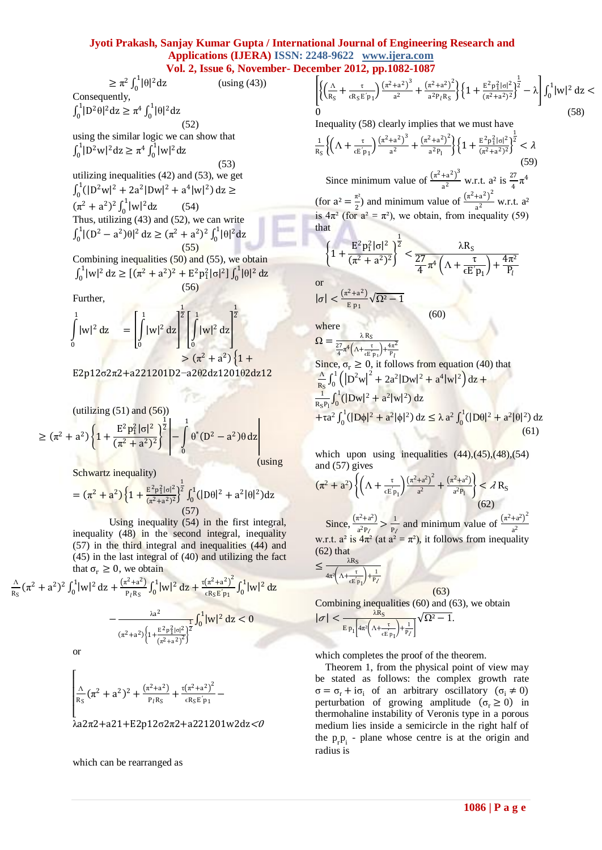(using (43))

 $\geq \pi^2 \int_0^1 |\theta|^2 dz$ Consequently,

 $\int_0^1 |D^2 \theta|^2 dz \ge \pi^4 \int_0^1 |\theta|^2 dz$ 

(52) using the similar logic we can show that  $\int_0^1 |D^2 w|^2 dz \ge \pi^4 \int_0^1 |w|^2 dz$ 

(53) utilizing inequalities (42) and (53), we get  $\int_0^1 (|D^2w|^2 + 2a^2|Dw|^2 + a^4|w|^2)$  $\int_0^1(|D^2w|^2 + 2a^2|Dw|^2 + a^4|w|^2) dz \ge$  $(\pi^2 + a^2)^2 \int_0^1 |w|^2 dz$ (54) Thus, utilizing (43) and (52), we can write  $\int_0^1 |(D^2 - a^2)\theta|^2$  $\int_0^1 |(\mathbf{D}^2 - \mathbf{a}^2)\theta|^2 \, \mathrm{d}\mathbf{z} \ge (\pi^2 + \mathbf{a}^2)^2 \int_0^1 |\theta|^2 \, \mathrm{d}\mathbf{z}$ (55)

Combining inequalities (50) and (55), we obtain  $\int_0^1 |w|^2$  $\int_0^1 |w|^2 dz \geq [(\pi^2 + a^2)^2 + E^2 p_1^2 |\sigma|^2] \int_0^1 |\theta|^2$  $\int_0^1 |\theta|^2 dz$ (56)

Further,

$$
\int_{0}^{1} |w|^{2} dz = \left[ \int_{0}^{1} |w|^{2} dz \right]^{\frac{1}{2}} \left[ \int_{0}^{1} |w|^{2} dz \right]^{\frac{1}{2}} = (\pi^{2} + a^{2}) \{1 +
$$

E2p12σ2π2+a221201D2−a2θ2dz1201θ2dz12

$$
(\text{utilizing (51) and (56))}
$$
\n
$$
\geq (\pi^2 + a^2) \left\{ 1 + \frac{E^2 p_1^2 |\sigma|^2}{(\pi^2 + a^2)^2} \right\}^{\frac{1}{2}} - \int_0^1 \theta^* (D^2 - a^2) \theta \, dz \bigg|_{\text{using}}
$$

Schwartz inequality)

$$
= (\pi^2 + a^2) \left\{ 1 + \frac{E^2 p_1^2 |\sigma|^2}{(\pi^2 + a^2)^2} \right\}^{\frac{1}{2}} \int_0^1 (|D\theta|^2 + a^2 |\theta|^2) dz
$$
\n(57)

Using inequality (54) in the first integral, inequality (48) in the second integral, inequality (57) in the third integral and inequalities (44) and (45) in the last integral of (40) and utilizing the fact that  $\sigma_r \geq 0$ , we obtain

$$
\frac{\Delta}{R_S} (\pi^2 + a^2)^2 \int_0^1 |w|^2 dz + \frac{(\pi^2 + a^2)}{P_l R_S} \int_0^1 |w|^2 dz + \frac{\tau (\pi^2 + a^2)^2}{\epsilon R_S E' p_1} \int_0^1 |w|^2 dz - \frac{\Delta a^2}{(\pi^2 + a^2) \left\{1 + \frac{E^2 p_1^2 |\sigma|^2}{(\pi^2 + a^2)^2}\right\}^2} \int_0^1 |w|^2 dz < 0
$$

or

$$
\begin{bmatrix}\n\frac{\Lambda}{R_S}(\pi^2 + a^2)^2 + \frac{(\pi^2 + a^2)}{P_I R_S} + \frac{\tau(\pi^2 + a^2)^2}{\epsilon R_S E' p_1} - \\
\frac{\Lambda a 2\pi}{2 + a 21 + E^2 p 12\sigma^2 \pi^2 + a 221201 w 2dz} < 0\n\end{bmatrix}
$$

which can be rearranged as

$$
\left[ \left\{ \left( \frac{\Lambda}{R_S} + \frac{\tau}{\epsilon R_S E' p_1} \right) \frac{\left( \pi^2 + a^2 \right)^3}{a^2} + \frac{\left( \pi^2 + a^2 \right)^2}{a^2 p_l R_S} \right\} \left\{ 1 + \frac{E^2 p_1^2 |\sigma|^2}{\left( \pi^2 + a^2 \right)^2} \right\}^{-1} - \lambda \right] \int_0^1 |w|^2 dz 0
$$
\n(58)

Inequality (58) clearly implies that we must have

$$
\frac{1}{R_S} \Biggl\{ \Bigl( \Lambda + \frac{\tau}{\varepsilon E' p_1} \Bigr) \frac{(\pi^2 + a^2)^3}{a^2} + \frac{(\pi^2 + a^2)^2}{a^2 p_1} \Biggr\} \Biggl\{ 1 + \frac{E^2 p_1^2 |\sigma|^2}{(\pi^2 + a^2)^2} \Biggr\}^{\frac{1}{2}} < \lambda
$$
\n(59)

Since minimum value of  $\frac{(\pi^2 + a^2)^3}{2}$  $\frac{+a^2}{a^2}$  w.r.t.  $a^2$  is  $\frac{27}{4}\pi^4$ (for  $a^2 = \frac{\pi^2}{2}$  $\frac{\pi^2}{2}$  and minimum value of  $\frac{(\pi^2 + a^2)^2}{a^2}$  $\frac{a}{a^2}$  w.r.t.  $a^2$ is  $4\pi^2$  (for  $a^2 = \pi^2$ ), we obtain, from inequality (59) that

$$
\left\{1 + \frac{E^2 p_1^2 |\sigma|^2}{(\pi^2 + a^2)^2}\right\}^{\frac{1}{2}} < \frac{\lambda R_S}{\frac{27}{4} \pi^4 \left(\Lambda + \frac{\tau}{\epsilon E' p_1}\right) + \frac{4\pi^2}{P_l}}
$$
\nor

\n
$$
|\sigma| < \frac{(\pi^2 + a^2)}{E p_1} \sqrt{\Omega^2 - 1}
$$

 $(60)$ 

where

$$
\Omega = \frac{\lambda R_S}{\frac{27}{4}\pi^4 \left(\Delta + \frac{\tau}{cE'p_1}\right) + \frac{4\pi^2}{P_l}}
$$
  
Since,  $\sigma_r \ge 0$ , it follows from equation (40) that  

$$
\frac{\Delta}{R_S} \int_0^1 \left( \left| D^2 w \right|^2 + 2a^2 |Dw|^2 + a^4 |w|^2 \right) dz +
$$

$$
\frac{R_S}{R_S P_l} \int_0^1 (|Dw|^2 + a^2 |w|^2) dz
$$
  
+ $\tau a^2 \int_0^1 (|D\phi|^2 + a^2 |\phi|^2) dz \le \lambda a^2 \int_0^1 (|D\theta|^2 + a^2 |\theta|^2) dz$  (61)

which upon using inequalities  $(44)$ , $(45)$ , $(48)$ , $(54)$ and (57) gives

$$
(\pi^2 + a^2) \left\{ \left( \Lambda + \frac{\tau}{\epsilon E_{\text{Pl}}} \right) \frac{(\pi^2 + a^2)^2}{a^2} + \frac{(\pi^2 + a^2)}{a^2 P_1} \right\} < \lambda R_S \tag{62}
$$

Since,  $\frac{(\pi^2 + a^2)}{2R}$  $\frac{\pi^2 + a^2}{a^2 P_\ell} > \frac{1}{P_\ell}$  $\frac{1}{P_\ell}$  and minimum value of  $\frac{(\pi^2 + a^2)^2}{a^2}$  $a<sup>2</sup>$ w.r.t.  $a^2$  is  $4\pi^2$  (at  $a^2 = \pi^2$ ), it follows from inequality (62) that

$$
\leq \frac{\lambda R_S}{4\pi^2 \left(\Lambda + \frac{\tau}{\epsilon E p_1}\right) + \frac{1}{P_\ell}}
$$

 (63) Combining inequalities (60) and (63), we obtain

Ω² − 1.

$$
|\sigma| < \frac{\lambda R_S}{E_{P_1}\left[4\pi^2\left(\Lambda + \frac{\tau}{\epsilon E_{P_1}}\right) + \frac{1}{P_\ell}\right]}\sqrt{\Omega^2 - \frac{1}{\tau}}.
$$

which completes the proof of the theorem.

 Theorem 1, from the physical point of view may be stated as follows: the complex growth rate  $\sigma = \sigma_r + i\sigma_i$  of an arbitrary oscillatory  $(\sigma_i \neq 0)$ perturbation of growing amplitude  $(\sigma_r \ge 0)$  in thermohaline instability of Veronis type in a porous medium lies inside a semicircle in the right half of the  $p_{r}p_{i}$  - plane whose centre is at the origin and radius is